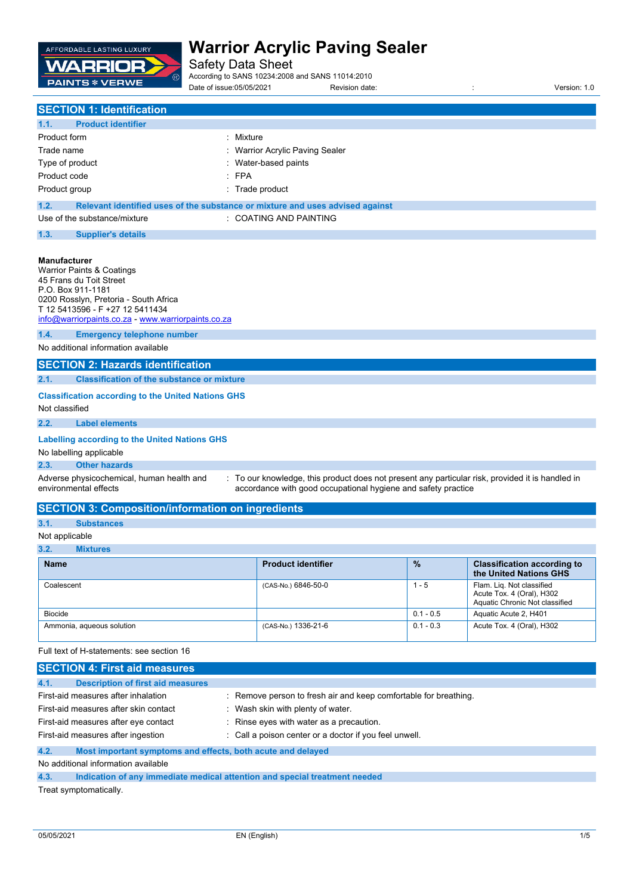

Safety Data Sheet

According to SANS 10234:2008 and SANS 11014:2010

Date of issue:05/05/2021 Revision date: : Version: 1.0 **SECTION 1: Identification**

# **1.1. Product identifier** Product form : Nixture Trade name **in the sealer** of the state of the Marrior Acrylic Paving Sealer Type of product **intervalse in the COV** and Type of product Product code : FPA Product group **in the case of the case of the case of the case of the case of the case of the case of the case of the case of the case of the case of the case of the case of the case of the case of the case of the case of 1.2. Relevant identified uses of the substance or mixture and uses advised against**

| Use of the substance/mixture | <b>COATING AND PAINTING</b> |
|------------------------------|-----------------------------|
|                              |                             |

### **1.3. Supplier's details**

## **Manufacturer**

| Warrior Paints & Coatings             |                                                       |  |
|---------------------------------------|-------------------------------------------------------|--|
| 45 Frans du Toit Street               |                                                       |  |
| P.O. Box 911-1181                     |                                                       |  |
| 0200 Rosslyn, Pretoria - South Africa |                                                       |  |
| T 12 5413596 - F +27 12 5411434       |                                                       |  |
|                                       | $info@warrior$ paints.co.za - www.warriorpaints.co.za |  |
| 1.4.                                  | <b>Emergency telephone number</b>                     |  |

No additional information available

## **SECTION 2: Hazards identification**

## **2.1. Classification of the substance or mixture**

### **Classification according to the United Nations GHS**

Not classified

# **2.2. Label elements**

#### **Labelling according to the United Nations GHS**

No labelling applicable

#### **2.3. Other hazards**

Adverse physicochemical, human health and environmental effects

: To our knowledge, this product does not present any particular risk, provided it is handled in accordance with good occupational hygiene and safety practice

# **SECTION 3: Composition/information on ingredients**

# **3.1. Substances**

# Not applicable

**3.2. Mixtures**

| .                         |                           |               |                                                                                          |
|---------------------------|---------------------------|---------------|------------------------------------------------------------------------------------------|
| <b>Name</b>               | <b>Product identifier</b> | $\frac{9}{6}$ | <b>Classification according to</b><br>the United Nations GHS                             |
| Coalescent                | (CAS-No.) 6846-50-0       | $1 - 5$       | Flam. Lig. Not classified<br>Acute Tox. 4 (Oral), H302<br>Aquatic Chronic Not classified |
| Biocide                   |                           | $0.1 - 0.5$   | Aquatic Acute 2, H401                                                                    |
| Ammonia, aqueous solution | (CAS-No.) 1336-21-6       | $0.1 - 0.3$   | Acute Tox. 4 (Oral), H302                                                                |

Full text of H-statements: see section 16

| <b>SECTION 4: First aid measures</b>                                |                                                                            |
|---------------------------------------------------------------------|----------------------------------------------------------------------------|
| 4.1.<br><b>Description of first aid measures</b>                    |                                                                            |
| First-aid measures after inhalation                                 | : Remove person to fresh air and keep comfortable for breathing.           |
| First-aid measures after skin contact                               | : Wash skin with plenty of water.                                          |
| First-aid measures after eye contact                                | : Rinse eyes with water as a precaution.                                   |
| First-aid measures after ingestion                                  | : Call a poison center or a doctor if you feel unwell.                     |
| 4.2.<br>Most important symptoms and effects, both acute and delayed |                                                                            |
| No additional information available                                 |                                                                            |
| 4.3.                                                                | Indication of any immediate medical attention and special treatment needed |

Treat symptomatically.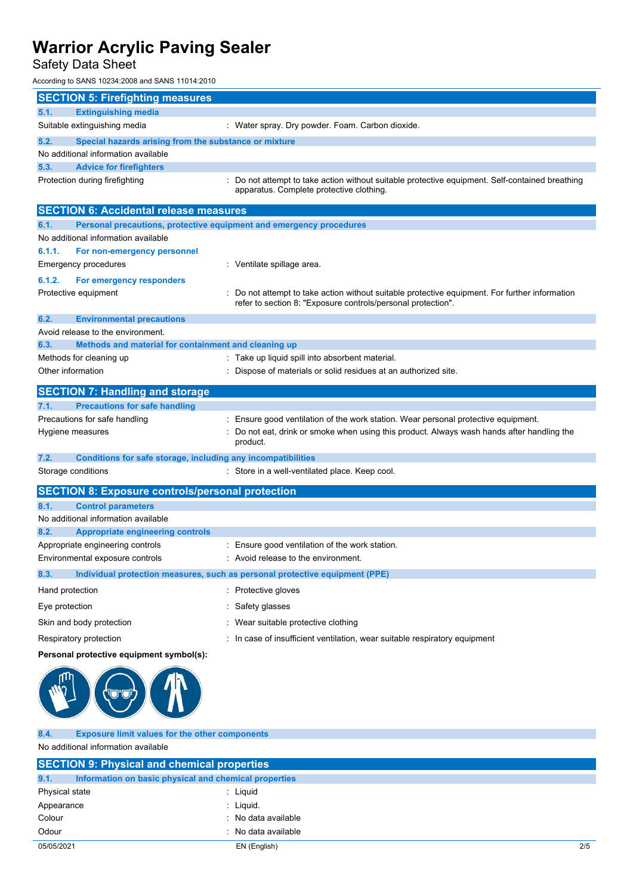Safety Data Sheet

According to SANS 10234:2008 and SANS 11014:2010

| <b>SECTION 5: Firefighting measures</b>                              |                                                                                                                                                              |  |  |
|----------------------------------------------------------------------|--------------------------------------------------------------------------------------------------------------------------------------------------------------|--|--|
| 5.1.<br><b>Extinguishing media</b>                                   |                                                                                                                                                              |  |  |
| Suitable extinguishing media                                         | : Water spray. Dry powder. Foam. Carbon dioxide.                                                                                                             |  |  |
| 5.2.<br>Special hazards arising from the substance or mixture        |                                                                                                                                                              |  |  |
| No additional information available                                  |                                                                                                                                                              |  |  |
| 5.3.<br><b>Advice for firefighters</b>                               |                                                                                                                                                              |  |  |
| Protection during firefighting                                       | Do not attempt to take action without suitable protective equipment. Self-contained breathing<br>apparatus. Complete protective clothing.                    |  |  |
|                                                                      |                                                                                                                                                              |  |  |
| <b>SECTION 6: Accidental release measures</b>                        |                                                                                                                                                              |  |  |
| 6.1.                                                                 | Personal precautions, protective equipment and emergency procedures                                                                                          |  |  |
| No additional information available                                  |                                                                                                                                                              |  |  |
| 6.1.1.<br>For non-emergency personnel                                |                                                                                                                                                              |  |  |
| Emergency procedures                                                 | : Ventilate spillage area.                                                                                                                                   |  |  |
| 6.1.2.<br>For emergency responders                                   |                                                                                                                                                              |  |  |
| Protective equipment                                                 | Do not attempt to take action without suitable protective equipment. For further information<br>refer to section 8: "Exposure controls/personal protection". |  |  |
| 6.2.<br><b>Environmental precautions</b>                             |                                                                                                                                                              |  |  |
| Avoid release to the environment.                                    |                                                                                                                                                              |  |  |
| Methods and material for containment and cleaning up<br>6.3.         |                                                                                                                                                              |  |  |
| Methods for cleaning up                                              | : Take up liquid spill into absorbent material.                                                                                                              |  |  |
| Other information                                                    | : Dispose of materials or solid residues at an authorized site.                                                                                              |  |  |
| <b>SECTION 7: Handling and storage</b>                               |                                                                                                                                                              |  |  |
| <b>Precautions for safe handling</b><br>7.1.                         |                                                                                                                                                              |  |  |
| Precautions for safe handling                                        | : Ensure good ventilation of the work station. Wear personal protective equipment.                                                                           |  |  |
| Hygiene measures                                                     | : Do not eat, drink or smoke when using this product. Always wash hands after handling the<br>product.                                                       |  |  |
| 7.2.<br>Conditions for safe storage, including any incompatibilities |                                                                                                                                                              |  |  |
| Storage conditions                                                   | : Store in a well-ventilated place. Keep cool.                                                                                                               |  |  |
| <b>SECTION 8: Exposure controls/personal protection</b>              |                                                                                                                                                              |  |  |
| 8.1.<br><b>Control parameters</b>                                    |                                                                                                                                                              |  |  |
| No additional information available                                  |                                                                                                                                                              |  |  |
| 8.2.<br><b>Appropriate engineering controls</b>                      |                                                                                                                                                              |  |  |
| Appropriate engineering controls                                     | : Ensure good ventilation of the work station.                                                                                                               |  |  |
| Environmental exposure controls                                      | Avoid release to the environment.                                                                                                                            |  |  |
| 8.3.                                                                 | Individual protection measures, such as personal protective equipment (PPE)                                                                                  |  |  |
| Hand protection                                                      | : Protective gloves                                                                                                                                          |  |  |
| Eye protection                                                       | Safety glasses                                                                                                                                               |  |  |
| Skin and body protection                                             | Wear suitable protective clothing                                                                                                                            |  |  |
| Respiratory protection                                               | : In case of insufficient ventilation, wear suitable respiratory equipment                                                                                   |  |  |
| Personal protective equipment symbol(s):                             |                                                                                                                                                              |  |  |
|                                                                      |                                                                                                                                                              |  |  |

| 8.4. |  |  |  | <b>Exposure limit values for the other components</b> |
|------|--|--|--|-------------------------------------------------------|
|      |  |  |  |                                                       |

No additional information available

| <b>SECTION 9: Physical and chemical properties</b>            |                     |     |
|---------------------------------------------------------------|---------------------|-----|
| 9.1.<br>Information on basic physical and chemical properties |                     |     |
| Physical state                                                | : Liquid            |     |
| Appearance                                                    | : Liquid.           |     |
| Colour                                                        | : No data available |     |
| Odour                                                         | : No data available |     |
| 05/05/2021                                                    | EN (English)        | 2/5 |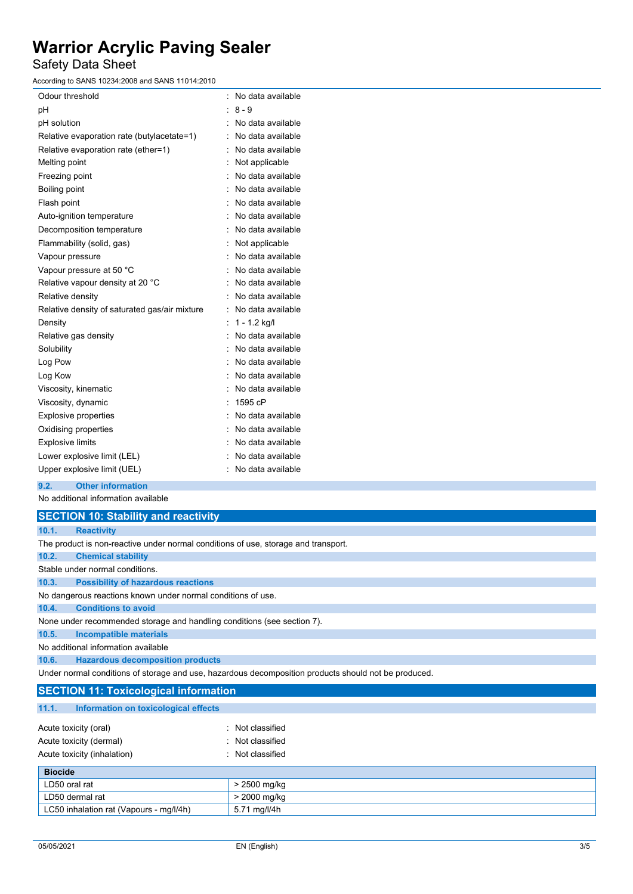Safety Data Sheet

According to SANS 10234:2008 and SANS 11014:2010

| Odour threshold                               | No data available |
|-----------------------------------------------|-------------------|
| рH                                            | $8 - 9$           |
| pH solution                                   | No data available |
| Relative evaporation rate (butylacetate=1)    | No data available |
| Relative evaporation rate (ether=1)           | No data available |
| Melting point                                 | Not applicable    |
| Freezing point                                | No data available |
| Boiling point                                 | No data available |
| Flash point                                   | No data available |
| Auto-ignition temperature                     | No data available |
| Decomposition temperature                     | No data available |
| Flammability (solid, gas)                     | Not applicable    |
| Vapour pressure                               | No data available |
| Vapour pressure at 50 °C                      | No data available |
| Relative vapour density at 20 °C              | No data available |
| Relative density                              | No data available |
| Relative density of saturated gas/air mixture | No data available |
| Density                                       | $1 - 1.2$ kg/l    |
| Relative gas density                          | No data available |
| Solubility                                    | No data available |
| Log Pow                                       | No data available |
| Log Kow                                       | No data available |
| Viscosity, kinematic                          | No data available |
| Viscosity, dynamic                            | 1595 cP           |
| <b>Explosive properties</b>                   | No data available |
| Oxidising properties                          | No data available |
| <b>Explosive limits</b>                       | No data available |
| Lower explosive limit (LEL)                   | No data available |
| Upper explosive limit (UEL)                   | No data available |

**9.2. Other information**

No additional information available

|       | <b>SECTION 10: Stability and reactivity</b>                                                          |
|-------|------------------------------------------------------------------------------------------------------|
| 10.1. | <b>Reactivity</b>                                                                                    |
|       | The product is non-reactive under normal conditions of use, storage and transport.                   |
| 10.2. | <b>Chemical stability</b>                                                                            |
|       | Stable under normal conditions                                                                       |
| 10.3. | <b>Possibility of hazardous reactions</b>                                                            |
|       | No dangerous reactions known under normal conditions of use.                                         |
| 10.4. | <b>Conditions to avoid</b>                                                                           |
|       | None under recommended storage and handling conditions (see section 7).                              |
| 10.5. | <b>Incompatible materials</b>                                                                        |
|       | No additional information available                                                                  |
| 10.6. | <b>Hazardous decomposition products</b>                                                              |
|       | Under normal conditions of storage and use, hazardous decomposition products should not be produced. |
|       | <b>SECTION 11: Toxicological information</b>                                                         |
| 11.1. | Information on toxicological effects                                                                 |

| <b>Biocide</b>              |                  |
|-----------------------------|------------------|
| Acute toxicity (inhalation) | : Not classified |
| Acute toxicity (dermal)     | : Not classified |
| Acute toxicity (oral)       | : Not classified |
|                             |                  |

| <b>BIOCIDE</b>                          |              |
|-----------------------------------------|--------------|
| LD50 oral rat                           | · 2500 mg/kg |
| LD50 dermal rat                         | > 2000 mg/kg |
| LC50 inhalation rat (Vapours - mg/l/4h) | 5.71 mg/l/4h |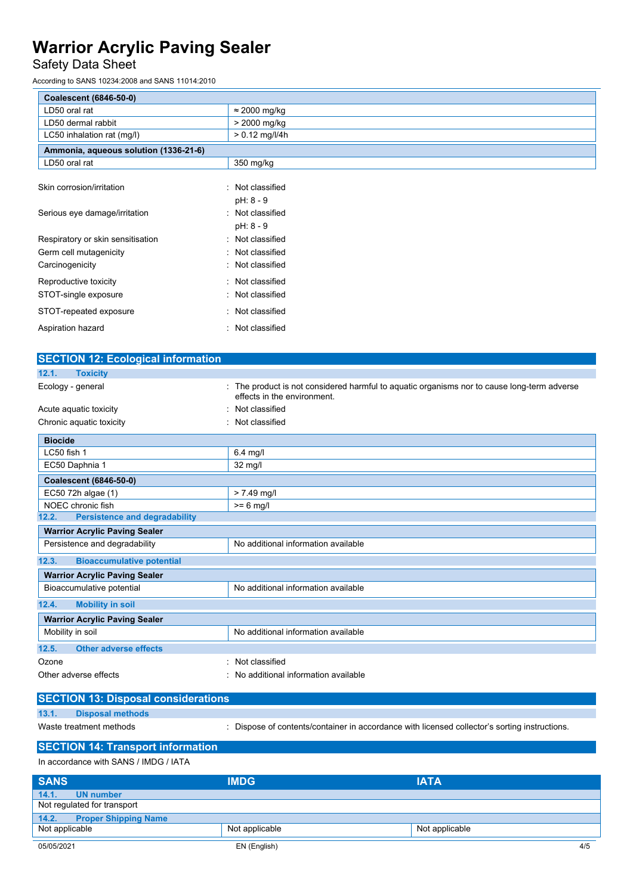# Safety Data Sheet

According to SANS 10234:2008 and SANS 11014:2010

| <b>Coalescent (6846-50-0)</b>         |                      |
|---------------------------------------|----------------------|
| LD50 oral rat                         | $\approx$ 2000 mg/kg |
| LD50 dermal rabbit                    | > 2000 mg/kg         |
| LC50 inhalation rat (mg/l)            | $> 0.12$ mg/l/4h     |
| Ammonia, aqueous solution (1336-21-6) |                      |
| LD50 oral rat                         | 350 mg/kg            |
|                                       |                      |
| Skin corrosion/irritation             | Not classified       |
|                                       | pH: 8 - 9            |
| Serious eye damage/irritation         | : Not classified     |
|                                       | pH: 8 - 9            |
| Respiratory or skin sensitisation     | : Not classified     |
| Germ cell mutagenicity                | : Not classified     |
| Carcinogenicity                       | : Not classified     |
| Reproductive toxicity                 | : Not classified     |
| STOT-single exposure                  | : Not classified     |
| STOT-repeated exposure                | : Not classified     |
| Aspiration hazard                     | : Not classified     |

| <b>SECTION 12: Ecological information</b>     |                                                                                                                          |  |  |  |
|-----------------------------------------------|--------------------------------------------------------------------------------------------------------------------------|--|--|--|
| 12.1.<br><b>Toxicity</b>                      |                                                                                                                          |  |  |  |
| Ecology - general                             | The product is not considered harmful to aquatic organisms nor to cause long-term adverse<br>effects in the environment. |  |  |  |
| Acute aquatic toxicity                        | Not classified                                                                                                           |  |  |  |
| Chronic aquatic toxicity                      | Not classified                                                                                                           |  |  |  |
| <b>Biocide</b>                                |                                                                                                                          |  |  |  |
| LC50 fish 1                                   | $6.4$ mg/l                                                                                                               |  |  |  |
| EC50 Daphnia 1                                | $32 \text{ mg/l}$                                                                                                        |  |  |  |
| <b>Coalescent (6846-50-0)</b>                 |                                                                                                                          |  |  |  |
| EC50 72h algae (1)                            | $> 7.49$ mg/l                                                                                                            |  |  |  |
| NOEC chronic fish                             | $>= 6$ mg/l                                                                                                              |  |  |  |
| <b>Persistence and degradability</b><br>12.2. |                                                                                                                          |  |  |  |
| <b>Warrior Acrylic Paving Sealer</b>          |                                                                                                                          |  |  |  |
| Persistence and degradability                 | No additional information available                                                                                      |  |  |  |
| 12.3.<br><b>Bioaccumulative potential</b>     |                                                                                                                          |  |  |  |
| <b>Warrior Acrylic Paving Sealer</b>          |                                                                                                                          |  |  |  |
| Bioaccumulative potential                     | No additional information available                                                                                      |  |  |  |
| <b>Mobility in soil</b><br>12.4.              |                                                                                                                          |  |  |  |
| <b>Warrior Acrylic Paving Sealer</b>          |                                                                                                                          |  |  |  |
| Mobility in soil                              | No additional information available                                                                                      |  |  |  |
| 12.5.<br><b>Other adverse effects</b>         |                                                                                                                          |  |  |  |
| Ozone                                         | Not classified                                                                                                           |  |  |  |
| Other adverse effects                         | No additional information available                                                                                      |  |  |  |

| <b>SECTION 13: Disposal considerations</b> |                         |                                                                                               |  |  |  |
|--------------------------------------------|-------------------------|-----------------------------------------------------------------------------------------------|--|--|--|
| 13.1.                                      | <b>Disposal methods</b> |                                                                                               |  |  |  |
|                                            | Waste treatment methods | : Dispose of contents/container in accordance with licensed collector's sorting instructions. |  |  |  |

**SECTION 14: Transport information** In accordance with SANS / IMDG / IATA

| <b>SANS</b>                          | <b>IMDG</b>    | <b>IATA</b>    |
|--------------------------------------|----------------|----------------|
| 14.1.<br>UN number                   |                |                |
| Not regulated for transport          |                |                |
| 14.2.<br><b>Proper Shipping Name</b> |                |                |
| Not applicable                       | Not applicable | Not applicable |
| 05/05/2021                           | EN (English)   | 4/5            |